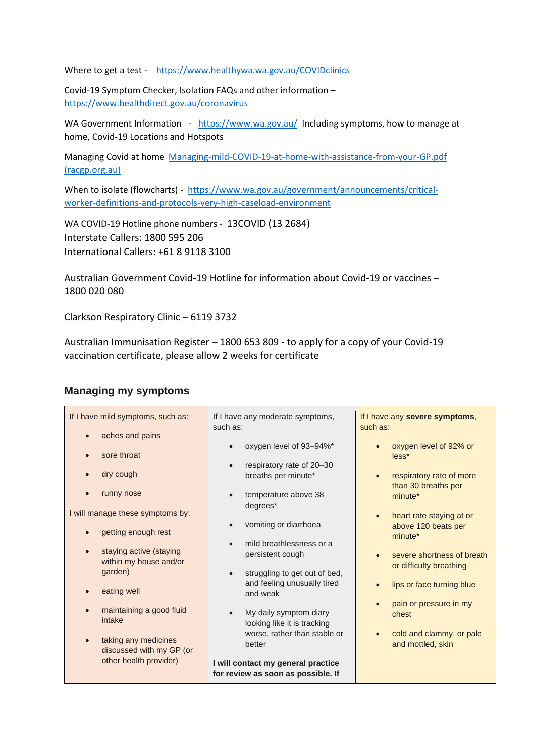Where to get a test - <https://www.healthywa.wa.gov.au/COVIDclinics>

Covid-19 Symptom Checker, Isolation FAQs and other information – <https://www.healthdirect.gov.au/coronavirus>

WA Government Information - <https://www.wa.gov.au/>Including symptoms, how to manage at home, Covid-19 Locations and Hotspots

Managing Covid at home [Managing-mild-COVID-19-at-home-with-assistance-from-your-GP.pdf](https://www.racgp.org.au/FSDEDEV/media/documents/Clinical%20Resources/Guidelines/Managing-mild-COVID-19-at-home-with-assistance-from-your-GP.pdf)  [\(racgp.org.au\)](https://www.racgp.org.au/FSDEDEV/media/documents/Clinical%20Resources/Guidelines/Managing-mild-COVID-19-at-home-with-assistance-from-your-GP.pdf)

When to isolate (flowcharts) - [https://www.wa.gov.au/government/announcements/critical](https://www.wa.gov.au/government/announcements/critical-worker-definitions-and-protocols-very-high-caseload-environment)[worker-definitions-and-protocols-very-high-caseload-environment](https://www.wa.gov.au/government/announcements/critical-worker-definitions-and-protocols-very-high-caseload-environment)

WA COVID-19 Hotline phone numbers - 13COVID (13 2684) Interstate Callers: 1800 595 206 International Callers: +61 8 9118 3100

Australian Government Covid-19 Hotline for information about Covid-19 or vaccines – 1800 020 080

Clarkson Respiratory Clinic – 6119 3732

Australian Immunisation Register – 1800 653 809 - to apply for a copy of your Covid-19 vaccination certificate, please allow 2 weeks for certificate

## **Managing my symptoms**

<u>i sa mga ka</u>

| If I have mild symptoms, such as:    | If I have any moderate symptoms,           | If I have any severe symptoms,                               |
|--------------------------------------|--------------------------------------------|--------------------------------------------------------------|
|                                      | such as:                                   | such as:                                                     |
| aches and pains                      |                                            |                                                              |
| sore throat                          | oxygen level of 93-94%*                    | oxygen level of 92% or<br>less*                              |
|                                      | respiratory rate of 20-30                  |                                                              |
| dry cough<br>$\bullet$               | breaths per minute*                        | respiratory rate of more<br>$\bullet$<br>than 30 breaths per |
| runny nose                           | temperature above 38                       | minute*                                                      |
| I will manage these symptoms by:     | degrees*                                   |                                                              |
|                                      |                                            | heart rate staying at or<br>$\bullet$                        |
| getting enough rest                  | vomiting or diarrhoea                      | above 120 beats per<br>minute*                               |
|                                      | mild breathlessness or a                   |                                                              |
| staying active (staying<br>$\bullet$ | persistent cough                           | severe shortness of breath<br>$\bullet$                      |
| within my house and/or               |                                            | or difficulty breathing                                      |
| garden)                              | struggling to get out of bed,<br>$\bullet$ |                                                              |
| eating well                          | and feeling unusually tired<br>and weak    | lips or face turning blue<br>$\bullet$                       |
|                                      |                                            | pain or pressure in my                                       |
| maintaining a good fluid             | My daily symptom diary<br>$\bullet$        | chest                                                        |
| intake                               | looking like it is tracking                |                                                              |
| taking any medicines<br>$\bullet$    | worse, rather than stable or               | cold and clammy, or pale                                     |
| discussed with my GP (or             | better                                     | and mottled, skin                                            |
| other health provider)               |                                            |                                                              |
|                                      | I will contact my general practice         |                                                              |
|                                      | for review as soon as possible. If         |                                                              |
|                                      |                                            |                                                              |